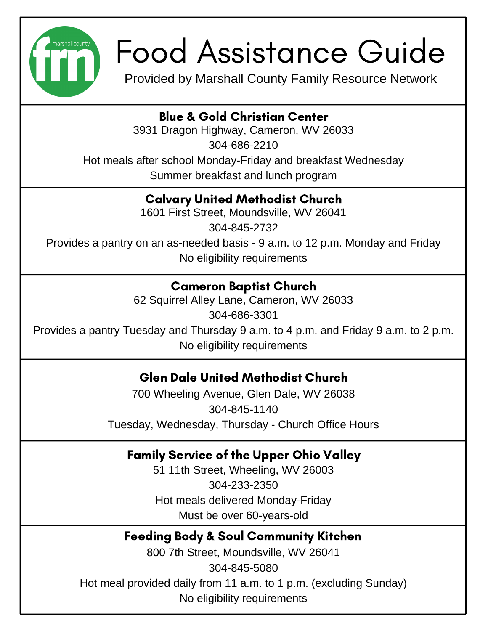

# Food Assistance Guide

Provided by Marshall County Family Resource Network

Blue & Gold Christian Center 3931 Dragon Highway, Cameron, WV 26033 304-686-2210 Hot meals after school Monday-Friday and breakfast Wednesday Summer breakfast and lunch program

Calvary United Methodist Church

1601 First Street, Moundsville, WV 26041 304-845-2732

Provides a pantry on an as-needed basis - 9 a.m. to 12 p.m. Monday and Friday No eligibility requirements

### Cameron Baptist Church

62 Squirrel Alley Lane, Cameron, WV 26033 304-686-3301

Provides a pantry Tuesday and Thursday 9 a.m. to 4 p.m. and Friday 9 a.m. to 2 p.m. No eligibility requirements

### Glen Dale United Methodist Church

700 Wheeling Avenue, Glen Dale, WV 26038 304-845-1140 Tuesday, Wednesday, Thursday - Church Office Hours

### Family Service of the Upper Ohio Valley

51 11th Street, Wheeling, WV 26003 304-233-2350 Hot meals delivered Monday-Friday Must be over 60-years-old

#### Feeding Body & Soul Community Kitchen

800 7th Street, Moundsville, WV 26041 304-845-5080 Hot meal provided daily from 11 a.m. to 1 p.m. (excluding Sunday) No eligibility requirements